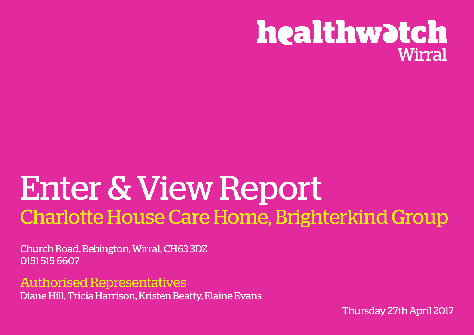

# Enter & View Report Charlotte House Care Home, Brighterkind Group

Church Road, Bebington, Wirral, CH63 3DZ 0151 515 6607

Authorised Representatives Diane Hill, Tricia Harrison, Kristen Beatty, Elaine Evans

Thursday 27th April 2017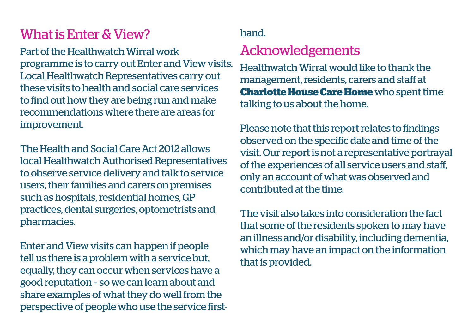## What is Enter & View?

Part of the Healthwatch Wirral work **Acknowledgements** programme is to carry out Enter and View visits. Local Healthwatch Representatives carry out these visits to health and social care services to find out how they are being run and make recommendations where there are areas for improvement.

The Health and Social Care Act 2012 allows local Healthwatch Authorised Representatives to observe service delivery and talk to service users, their families and carers on premises such as hospitals, residential homes, GP practices, dental surgeries, optometrists and pharmacies.

Enter and View visits can happen if people tell us there is a problem with a service but, equally, they can occur when services have a good reputation – so we can learn about and share examples of what they do well from the perspective of people who use the service first-

#### hand.

Healthwatch Wirral would like to thank the management, residents, carers and staff at **Charlotte House Care Home** who spent time talking to us about the home.

Please note that this report relates to findings observed on the specific date and time of the visit. Our report is not a representative portrayal of the experiences of all service users and staff, only an account of what was observed and contributed at the time.

The visit also takes into consideration the fact that some of the residents spoken to may have an illness and/or disability, including dementia, which may have an impact on the information that is provided.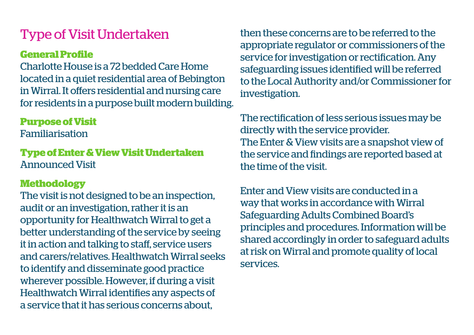## Type of Visit Undertaken

### **General Profile**

Charlotte House is a 72 bedded Care Home located in a quiet residential area of Bebington in Wirral. It offers residential and nursing care for residents in a purpose built modern building.

#### **Purpose of Visit**

Familiarisation

**Type of Enter & View Visit Undertaken** Announced Visit

#### **Methodology**

The visit is not designed to be an inspection, audit or an investigation, rather it is an opportunity for Healthwatch Wirral to get a better understanding of the service by seeing it in action and talking to staff, service users and carers/relatives. Healthwatch Wirral seeks to identify and disseminate good practice wherever possible. However, if during a visit Healthwatch Wirral identifies any aspects of a service that it has serious concerns about,

then these concerns are to be referred to the appropriate regulator or commissioners of the service for investigation or rectification. Any safeguarding issues identified will be referred to the Local Authority and/or Commissioner for investigation.

The rectification of less serious issues may be directly with the service provider. The Enter & View visits are a snapshot view of the service and findings are reported based at the time of the visit.

Enter and View visits are conducted in a way that works in accordance with Wirral Safeguarding Adults Combined Board's principles and procedures. Information will be shared accordingly in order to safeguard adults at risk on Wirral and promote quality of local services.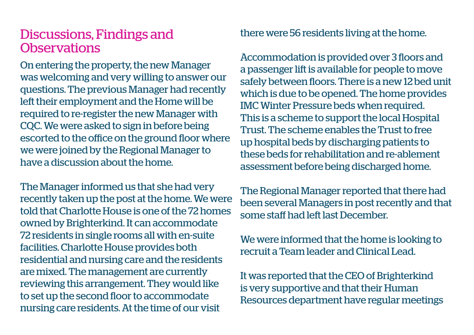### Discussions, Findings and **Observations**

On entering the property, the new Manager was welcoming and very willing to answer our questions. The previous Manager had recently left their employment and the Home will be required to re-register the new Manager with CQC. We were asked to sign in before being escorted to the office on the ground floor where we were joined by the Regional Manager to have a discussion about the home.

The Manager informed us that she had very recently taken up the post at the home. We were told that Charlotte House is one of the 72 homes owned by Brighterkind. It can accommodate 72 residents in single rooms all with en-suite facilities. Charlotte House provides both residential and nursing care and the residents are mixed. The management are currently reviewing this arrangement. They would like to set up the second floor to accommodate nursing care residents. At the time of our visit

there were 56 residents living at the home.

Accommodation is provided over 3 floors and a passenger lift is available for people to move safely between floors. There is a new 12 bed unit which is due to be opened. The home provides IMC Winter Pressure beds when required. This is a scheme to support the local Hospital Trust. The scheme enables the Trust to free up hospital beds by discharging patients to these beds for rehabilitation and re-ablement assessment before being discharged home.

The Regional Manager reported that there had been several Managers in post recently and that some staff had left last December.

We were informed that the home is looking to recruit a Team leader and Clinical Lead.

It was reported that the CEO of Brighterkind is very supportive and that their Human Resources department have regular meetings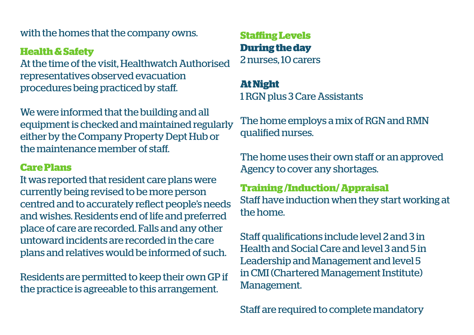with the homes that the company owns. **Staffing Levels**

#### **Health & Safety**

At the time of the visit, Healthwatch Authorised representatives observed evacuation procedures being practiced by staff.

We were informed that the building and all equipment is checked and maintained regularly either by the Company Property Dept Hub or the maintenance member of staff.

#### **Care Plans**

It was reported that resident care plans were currently being revised to be more person centred and to accurately reflect people's needs and wishes. Residents end of life and preferred place of care are recorded. Falls and any other untoward incidents are recorded in the care plans and relatives would be informed of such.

Residents are permitted to keep their own GP if the practice is agreeable to this arrangement.

**During the day** 2 nurses, 10 carers

### **At Night** 1 RGN plus 3 Care Assistants

The home employs a mix of RGN and RMN qualified nurses.

The home uses their own staff or an approved Agency to cover any shortages.

#### **Training /Induction/ Appraisal**

Staff have induction when they start working at the home.

Staff qualifications include level 2 and 3 in Health and Social Care and level 3 and 5 in Leadership and Management and level 5 in CMI (Chartered Management Institute) Management.

Staff are required to complete mandatory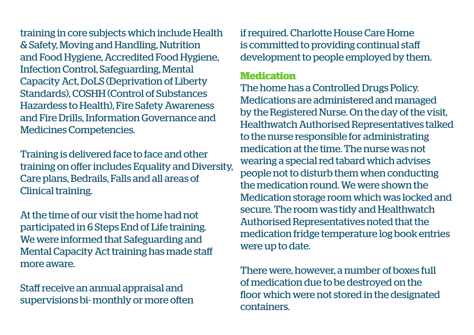training in core subjects which include Health & Safety, Moving and Handling, Nutrition and Food Hygiene, Accredited Food Hygiene, Infection Control, Safeguarding, Mental Capacity Act, DoLS (Deprivation of Liberty Standards), COSHH (Control of Substances Hazardess to Health), Fire Safety Awareness and Fire Drills, Information Governance and Medicines Competencies.

Training is delivered face to face and other training on offer includes Equality and Diversity, Care plans, Bedrails, Falls and all areas of Clinical training.

At the time of our visit the home had not participated in 6 Steps End of Life training. We were informed that Safeguarding and Mental Capacity Act training has made staff more aware.

Staff receive an annual appraisal and supervisions bi- monthly or more often if required. Charlotte House Care Home is committed to providing continual staff development to people employed by them.

#### **Medication**

The home has a Controlled Drugs Policy. Medications are administered and managed by the Registered Nurse. On the day of the visit, Healthwatch Authorised Representatives talked to the nurse responsible for administrating medication at the time. The nurse was not wearing a special red tabard which advises people not to disturb them when conducting the medication round. We were shown the Medication storage room which was locked and secure. The room was tidy and Healthwatch Authorised Representatives noted that the medication fridge temperature log book entries were up to date.

There were, however, a number of boxes full of medication due to be destroyed on the floor which were not stored in the designated containers.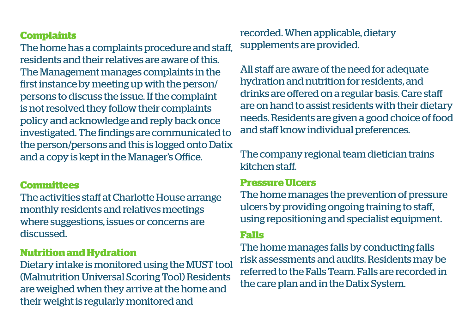#### **Complaints**

The home has a complaints procedure and staff, residents and their relatives are aware of this. The Management manages complaints in the first instance by meeting up with the person/ persons to discuss the issue. If the complaint is not resolved they follow their complaints policy and acknowledge and reply back once investigated. The findings are communicated to the person/persons and this is logged onto Datix and a copy is kept in the Manager's Office.

#### **Committees**

The activities staff at Charlotte House arrange monthly residents and relatives meetings where suggestions, issues or concerns are discussed.

#### **Nutrition and Hydration**

Dietary intake is monitored using the MUST tool (Malnutrition Universal Scoring Tool) Residents are weighed when they arrive at the home and their weight is regularly monitored and

recorded. When applicable, dietary supplements are provided.

All staff are aware of the need for adequate hydration and nutrition for residents, and drinks are offered on a regular basis. Care staff are on hand to assist residents with their dietary needs. Residents are given a good choice of food and staff know individual preferences.

The company regional team dietician trains kitchen staff.

#### **Pressure Ulcers**

The home manages the prevention of pressure ulcers by providing ongoing training to staff, using repositioning and specialist equipment.

#### **Falls**

The home manages falls by conducting falls risk assessments and audits. Residents may be referred to the Falls Team. Falls are recorded in the care plan and in the Datix System.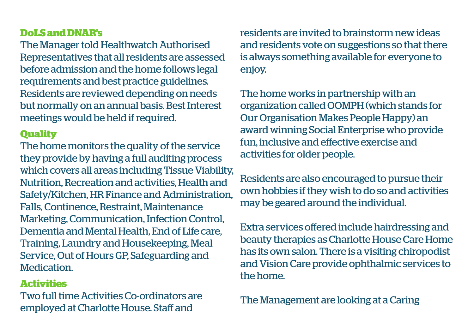#### **DoLS and DNAR's**

The Manager told Healthwatch Authorised Representatives that all residents are assessed before admission and the home follows legal requirements and best practice guidelines. Residents are reviewed depending on needs but normally on an annual basis. Best Interest meetings would be held if required.

#### **Quality**

The home monitors the quality of the service they provide by having a full auditing process which covers all areas including Tissue Viability, Nutrition, Recreation and activities, Health and Safety/Kitchen, HR Finance and Administration, Falls, Continence, Restraint, Maintenance Marketing, Communication, Infection Control, Dementia and Mental Health, End of Life care, Training, Laundry and Housekeeping, Meal Service, Out of Hours GP, Safeguarding and Medication.

#### **Activities**

Two full time Activities Co-ordinators are employed at Charlotte House. Staff and

residents are invited to brainstorm new ideas and residents vote on suggestions so that there is always something available for everyone to enjoy.

The home works in partnership with an organization called OOMPH (which stands for Our Organisation Makes People Happy) an award winning Social Enterprise who provide fun, inclusive and effective exercise and activities for older people.

Residents are also encouraged to pursue their own hobbies if they wish to do so and activities may be geared around the individual.

Extra services offered include hairdressing and beauty therapies as Charlotte House Care Home has its own salon. There is a visiting chiropodist and Vision Care provide ophthalmic services to the home.

The Management are looking at a Caring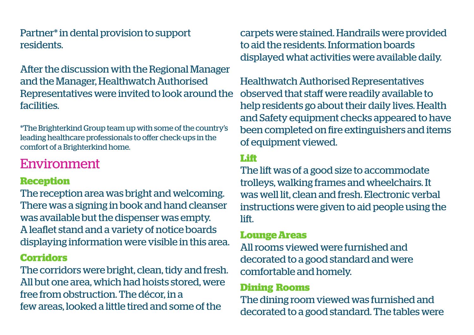Partner\* in dental provision to support residents.

After the discussion with the Regional Manager and the Manager, Healthwatch Authorised Representatives were invited to look around the facilities.

\*The Brighterkind Group team up with some of the country's leading healthcare professionals to offer check-ups in the comfort of a Brighterkind home.

### Environment

#### **Reception**

The reception area was bright and welcoming. There was a signing in book and hand cleanser was available but the dispenser was empty. A leaflet stand and a variety of notice boards displaying information were visible in this area.

#### **Corridors**

The corridors were bright, clean, tidy and fresh. All but one area, which had hoists stored, were free from obstruction. The décor, in a few areas, looked a little tired and some of the

carpets were stained. Handrails were provided to aid the residents. Information boards displayed what activities were available daily.

Healthwatch Authorised Representatives observed that staff were readily available to help residents go about their daily lives. Health and Safety equipment checks appeared to have been completed on fire extinguishers and items of equipment viewed.

#### **Lift**

The lift was of a good size to accommodate trolleys, walking frames and wheelchairs. It was well lit, clean and fresh. Electronic verbal instructions were given to aid people using the lift.

#### **Lounge Areas**

All rooms viewed were furnished and decorated to a good standard and were comfortable and homely.

#### **Dining Rooms**

The dining room viewed was furnished and decorated to a good standard. The tables were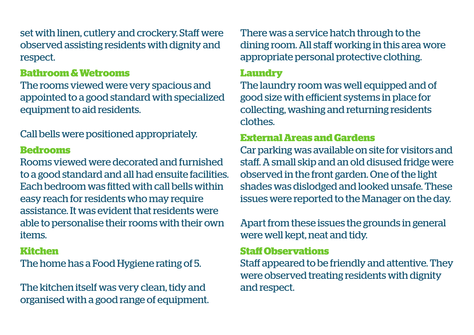set with linen, cutlery and crockery. Staff were observed assisting residents with dignity and respect.

#### **Bathroom & Wetrooms**

The rooms viewed were very spacious and appointed to a good standard with specialized equipment to aid residents.

Call bells were positioned appropriately.

#### **Bedrooms**

Rooms viewed were decorated and furnished to a good standard and all had ensuite facilities. Each bedroom was fitted with call bells within easy reach for residents who may require assistance. It was evident that residents were able to personalise their rooms with their own items.

#### **Kitchen**

The home has a Food Hygiene rating of 5.

The kitchen itself was very clean, tidy and organised with a good range of equipment. There was a service hatch through to the dining room. All staff working in this area wore appropriate personal protective clothing.

#### **Laundry**

The laundry room was well equipped and of good size with efficient systems in place for collecting, washing and returning residents clothes.

#### **External Areas and Gardens**

Car parking was available on site for visitors and staff. A small skip and an old disused fridge were observed in the front garden. One of the light shades was dislodged and looked unsafe. These issues were reported to the Manager on the day.

Apart from these issues the grounds in general were well kept, neat and tidy.

#### **Staff Observations**

Staff appeared to be friendly and attentive. They were observed treating residents with dignity and respect.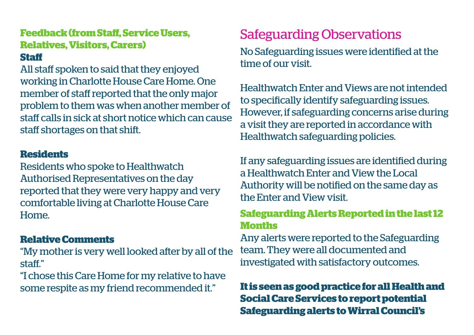### **Feedback (from Staff, Service Users, Relatives, Visitors, Carers)**

#### **Staff**

All staff spoken to said that they enjoyed working in Charlotte House Care Home. One member of staff reported that the only major problem to them was when another member of staff calls in sick at short notice which can cause staff shortages on that shift.

#### **Residents**

Residents who spoke to Healthwatch Authorised Representatives on the day reported that they were very happy and very comfortable living at Charlotte House Care Home.

#### **Relative Comments**

"My mother is very well looked after by all of the staff."

"I chose this Care Home for my relative to have some respite as my friend recommended it."

## Safeguarding Observations

No Safeguarding issues were identified at the time of our visit.

Healthwatch Enter and Views are not intended to specifically identify safeguarding issues. However, if safeguarding concerns arise during a visit they are reported in accordance with Healthwatch safeguarding policies.

If any safeguarding issues are identified during a Healthwatch Enter and View the Local Authority will be notified on the same day as the Enter and View visit.

#### **Safeguarding Alerts Reported in the last 12 Months**

Any alerts were reported to the Safeguarding team. They were all documented and investigated with satisfactory outcomes.

### **It is seen as good practice for all Health and Social Care Services to report potential Safeguarding alerts to Wirral Council's**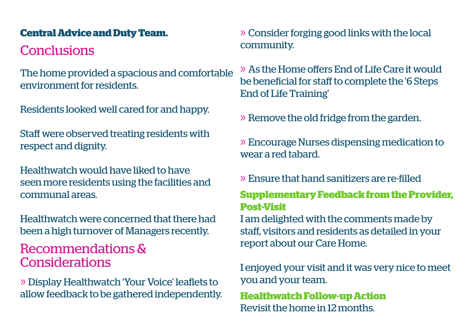## **Conclusions**

The home provided a spacious and comfortable environment for residents.

Residents looked well cared for and happy.

Staff were observed treating residents with respect and dignity.

Healthwatch would have liked to have seen more residents using the facilities and communal areas.

Healthwatch were concerned that there had been a high turnover of Managers recently.

Recommendations & Considerations

» Display Healthwatch 'Your Voice' leaflets to allow feedback to be gathered independently.

**Central Advice and Duty Team.** » Consider forging good links with the local community.

> » As the Home offers End of Life Care it would be beneficial for staff to complete the '6 Steps End of Life Training'

» Remove the old fridge from the garden.

» Encourage Nurses dispensing medication to wear a red tabard.

#### » Ensure that hand sanitizers are re-filled

#### **Supplementary Feedback from the Provider, Post-Visit**

I am delighted with the comments made by staff, visitors and residents as detailed in your report about our Care Home.

I enjoyed your visit and it was very nice to meet you and your team.

**Healthwatch Follow-up Action** Revisit the home in 12 months.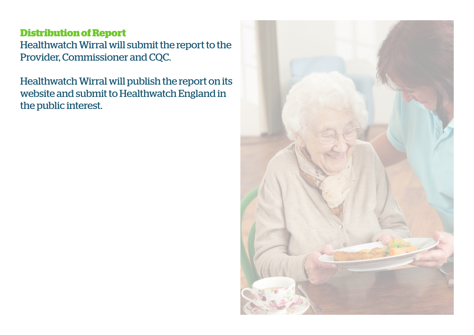#### **Distribution of Report**

Healthwatch Wirral will submit the report to the Provider, Commissioner and CQC.

Healthwatch Wirral will publish the report on its website and submit to Healthwatch England in the public interest.